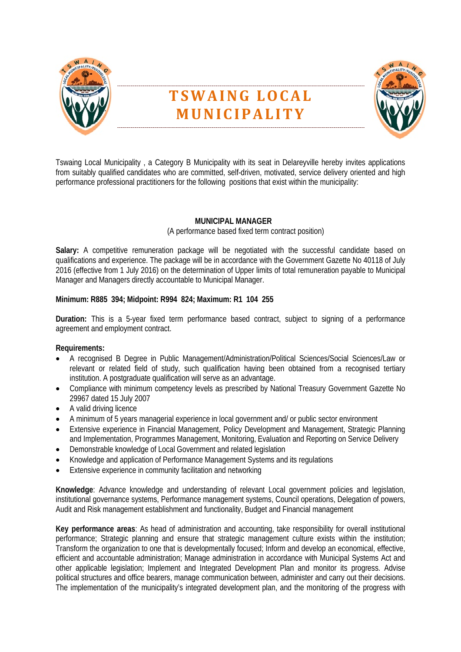

# **TSWAING LOCAL MUNICIPALITY**



Tswaing Local Municipality , a Category B Municipality with its seat in Delareyville hereby invites applications from suitably qualified candidates who are committed, self-driven, motivated, service delivery oriented and high performance professional practitioners for the following positions that exist within the municipality:

# **MUNICIPAL MANAGER**

(A performance based fixed term contract position)

Salary: A competitive remuneration package will be negotiated with the successful candidate based on qualifications and experience. The package will be in accordance with the Government Gazette No 40118 of July 2016 (effective from 1 July 2016) on the determination of Upper limits of total remuneration payable to Municipal Manager and Managers directly accountable to Municipal Manager.

# **Minimum: R885 394; Midpoint: R994 824; Maximum: R1 104 255**

**Duration:** This is a 5-year fixed term performance based contract, subject to signing of a performance agreement and employment contract.

# **Requirements:**

- A recognised B Degree in Public Management/Administration/Political Sciences/Social Sciences/Law or relevant or related field of study, such qualification having been obtained from a recognised tertiary institution. A postgraduate qualification will serve as an advantage.
- Compliance with minimum competency levels as prescribed by National Treasury Government Gazette No 29967 dated 15 July 2007
- A valid driving licence
- A minimum of 5 years managerial experience in local government and/ or public sector environment
- Extensive experience in Financial Management, Policy Development and Management, Strategic Planning and Implementation, Programmes Management, Monitoring, Evaluation and Reporting on Service Delivery
- Demonstrable knowledge of Local Government and related legislation
- Knowledge and application of Performance Management Systems and its regulations
- Extensive experience in community facilitation and networking

**Knowledge**: Advance knowledge and understanding of relevant Local government policies and legislation, institutional governance systems, Performance management systems, Council operations, Delegation of powers, Audit and Risk management establishment and functionality, Budget and Financial management

**Key performance areas**: As head of administration and accounting, take responsibility for overall institutional performance; Strategic planning and ensure that strategic management culture exists within the institution; Transform the organization to one that is developmentally focused; Inform and develop an economical, effective, efficient and accountable administration; Manage administration in accordance with Municipal Systems Act and other applicable legislation; Implement and Integrated Development Plan and monitor its progress. Advise political structures and office bearers, manage communication between, administer and carry out their decisions. The implementation of the municipality's integrated development plan, and the monitoring of the progress with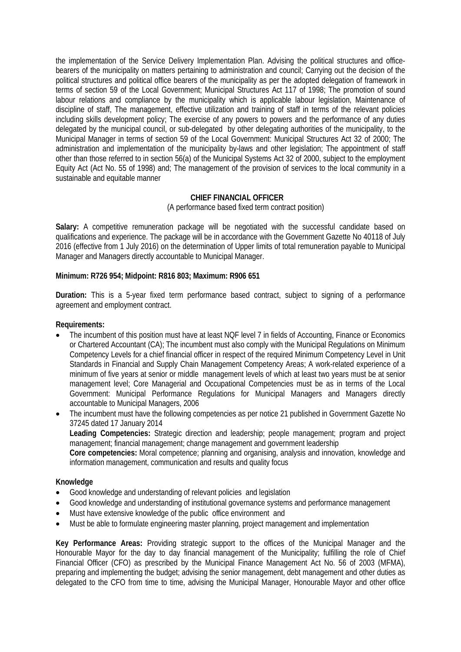the implementation of the Service Delivery Implementation Plan. Advising the political structures and officebearers of the municipality on matters pertaining to administration and council; Carrying out the decision of the political structures and political office bearers of the municipality as per the adopted delegation of framework in terms of section 59 of the Local Government; Municipal Structures Act 117 of 1998; The promotion of sound labour relations and compliance by the municipality which is applicable labour legislation, Maintenance of discipline of staff, The management, effective utilization and training of staff in terms of the relevant policies including skills development policy; The exercise of any powers to powers and the performance of any duties delegated by the municipal council, or sub-delegated by other delegating authorities of the municipality, to the Municipal Manager in terms of section 59 of the Local Government: Municipal Structures Act 32 of 2000; The administration and implementation of the municipality by-laws and other legislation; The appointment of staff other than those referred to in section 56(a) of the Municipal Systems Act 32 of 2000, subject to the employment Equity Act (Act No. 55 of 1998) and; The management of the provision of services to the local community in a sustainable and equitable manner

## **CHIEF FINANCIAL OFFICER**

(A performance based fixed term contract position)

Salary: A competitive remuneration package will be negotiated with the successful candidate based on qualifications and experience. The package will be in accordance with the Government Gazette No 40118 of July 2016 (effective from 1 July 2016) on the determination of Upper limits of total remuneration payable to Municipal Manager and Managers directly accountable to Municipal Manager.

#### **Minimum: R726 954; Midpoint: R816 803; Maximum: R906 651**

**Duration:** This is a 5-year fixed term performance based contract, subject to signing of a performance agreement and employment contract.

## **Requirements:**

- The incumbent of this position must have at least NQF level 7 in fields of Accounting, Finance or Economics or Chartered Accountant (CA); The incumbent must also comply with the Municipal Regulations on Minimum Competency Levels for a chief financial officer in respect of the required Minimum Competency Level in Unit Standards in Financial and Supply Chain Management Competency Areas; A work-related experience of a minimum of five years at senior or middle management levels of which at least two years must be at senior management level; Core Managerial and Occupational Competencies must be as in terms of the Local Government: Municipal Performance Regulations for Municipal Managers and Managers directly accountable to Municipal Managers, 2006
- The incumbent must have the following competencies as per notice 21 published in Government Gazette No 37245 dated 17 January 2014 **Leading Competencies:** Strategic direction and leadership; people management; program and project management; financial management; change management and government leadership **Core competencies:** Moral competence; planning and organising, analysis and innovation, knowledge and information management, communication and results and quality focus

## **Knowledge**

- Good knowledge and understanding of relevant policies and legislation
- Good knowledge and understanding of institutional governance systems and performance management
- Must have extensive knowledge of the public office environment and
- Must be able to formulate engineering master planning, project management and implementation

**Key Performance Areas:** Providing strategic support to the offices of the Municipal Manager and the Honourable Mayor for the day to day financial management of the Municipality; fulfilling the role of Chief Financial Officer (CFO) as prescribed by the Municipal Finance Management Act No. 56 of 2003 (MFMA), preparing and implementing the budget; advising the senior management, debt management and other duties as delegated to the CFO from time to time, advising the Municipal Manager, Honourable Mayor and other office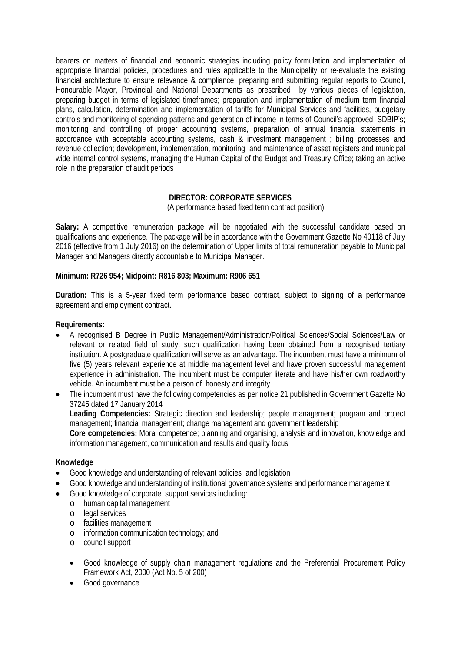bearers on matters of financial and economic strategies including policy formulation and implementation of appropriate financial policies, procedures and rules applicable to the Municipality or re-evaluate the existing financial architecture to ensure relevance & compliance; preparing and submitting regular reports to Council, Honourable Mayor, Provincial and National Departments as prescribed by various pieces of legislation, preparing budget in terms of legislated timeframes; preparation and implementation of medium term financial plans, calculation, determination and implementation of tariffs for Municipal Services and facilities, budgetary controls and monitoring of spending patterns and generation of income in terms of Council's approved SDBIP's; monitoring and controlling of proper accounting systems, preparation of annual financial statements in accordance with acceptable accounting systems, cash & investment management ; billing processes and revenue collection; development, implementation, monitoring and maintenance of asset registers and municipal wide internal control systems, managing the Human Capital of the Budget and Treasury Office; taking an active role in the preparation of audit periods

# **DIRECTOR: CORPORATE SERVICES**

(A performance based fixed term contract position)

Salary: A competitive remuneration package will be negotiated with the successful candidate based on qualifications and experience. The package will be in accordance with the Government Gazette No 40118 of July 2016 (effective from 1 July 2016) on the determination of Upper limits of total remuneration payable to Municipal Manager and Managers directly accountable to Municipal Manager.

## **Minimum: R726 954; Midpoint: R816 803; Maximum: R906 651**

**Duration:** This is a 5-year fixed term performance based contract, subject to signing of a performance agreement and employment contract.

## **Requirements:**

- A recognised B Degree in Public Management/Administration/Political Sciences/Social Sciences/Law or relevant or related field of study, such qualification having been obtained from a recognised tertiary institution. A postgraduate qualification will serve as an advantage. The incumbent must have a minimum of five (5) years relevant experience at middle management level and have proven successful management experience in administration. The incumbent must be computer literate and have his/her own roadworthy vehicle. An incumbent must be a person of honesty and integrity
- The incumbent must have the following competencies as per notice 21 published in Government Gazette No 37245 dated 17 January 2014 **Leading Competencies:** Strategic direction and leadership; people management; program and project management; financial management; change management and government leadership

**Core competencies:** Moral competence; planning and organising, analysis and innovation, knowledge and information management, communication and results and quality focus

## **Knowledge**

- Good knowledge and understanding of relevant policies and legislation
- Good knowledge and understanding of institutional governance systems and performance management
- Good knowledge of corporate support services including:
	- o human capital management
	- o legal services
	- o facilities management
	- o information communication technology; and
	- o council support
	- Good knowledge of supply chain management regulations and the Preferential Procurement Policy Framework Act, 2000 (Act No. 5 of 200)
	- Good governance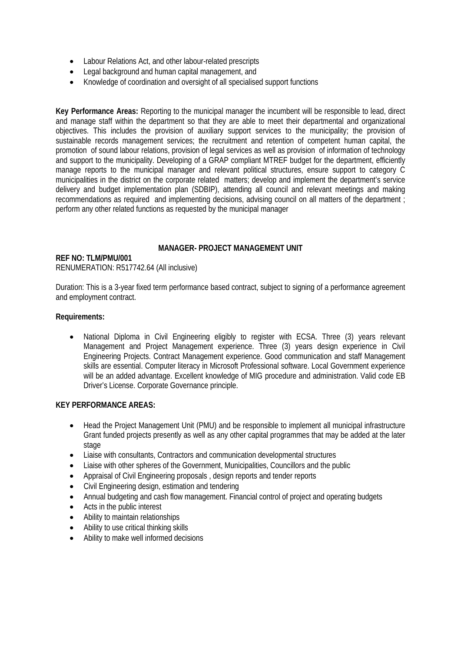- Labour Relations Act, and other labour-related prescripts
- Legal background and human capital management, and
- Knowledge of coordination and oversight of all specialised support functions

**Key Performance Areas:** Reporting to the municipal manager the incumbent will be responsible to lead, direct and manage staff within the department so that they are able to meet their departmental and organizational objectives. This includes the provision of auxiliary support services to the municipality; the provision of sustainable records management services; the recruitment and retention of competent human capital, the promotion of sound labour relations, provision of legal services as well as provision of information of technology and support to the municipality. Developing of a GRAP compliant MTREF budget for the department, efficiently manage reports to the municipal manager and relevant political structures, ensure support to category C municipalities in the district on the corporate related matters; develop and implement the department's service delivery and budget implementation plan (SDBIP), attending all council and relevant meetings and making recommendations as required and implementing decisions, advising council on all matters of the department ; perform any other related functions as requested by the municipal manager

## **MANAGER- PROJECT MANAGEMENT UNIT**

#### **REF NO: TLM/PMU/001** RENUMERATION: R517742.64 (All inclusive)

Duration: This is a 3-year fixed term performance based contract, subject to signing of a performance agreement and employment contract.

## **Requirements:**

• National Diploma in Civil Engineering eligibly to register with ECSA. Three (3) years relevant Management and Project Management experience. Three (3) years design experience in Civil Engineering Projects. Contract Management experience. Good communication and staff Management skills are essential. Computer literacy in Microsoft Professional software. Local Government experience will be an added advantage. Excellent knowledge of MIG procedure and administration. Valid code EB Driver's License. Corporate Governance principle.

# **KEY PERFORMANCE AREAS:**

- Head the Project Management Unit (PMU) and be responsible to implement all municipal infrastructure Grant funded projects presently as well as any other capital programmes that may be added at the later stage
- Liaise with consultants, Contractors and communication developmental structures
- Liaise with other spheres of the Government, Municipalities, Councillors and the public
- Appraisal of Civil Engineering proposals , design reports and tender reports
- Civil Engineering design, estimation and tendering
- Annual budgeting and cash flow management. Financial control of project and operating budgets
- Acts in the public interest
- Ability to maintain relationships
- Ability to use critical thinking skills
- Ability to make well informed decisions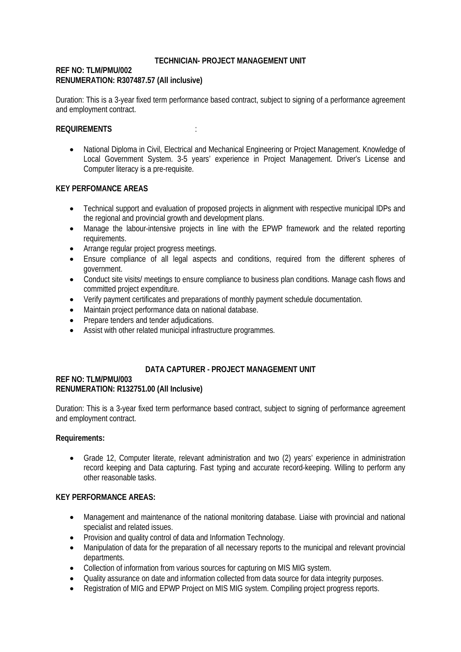## **TECHNICIAN- PROJECT MANAGEMENT UNIT**

## **REF NO: TLM/PMU/002 RENUMERATION: R307487.57 (All inclusive)**

Duration: This is a 3-year fixed term performance based contract, subject to signing of a performance agreement and employment contract.

## **REQUIREMENTS** :

• National Diploma in Civil, Electrical and Mechanical Engineering or Project Management. Knowledge of Local Government System. 3-5 years' experience in Project Management. Driver's License and Computer literacy is a pre-requisite.

## **KEY PERFOMANCE AREAS**

- Technical support and evaluation of proposed projects in alignment with respective municipal IDPs and the regional and provincial growth and development plans.
- Manage the labour-intensive projects in line with the EPWP framework and the related reporting requirements.
- Arrange regular project progress meetings.
- Ensure compliance of all legal aspects and conditions, required from the different spheres of government.
- Conduct site visits/ meetings to ensure compliance to business plan conditions. Manage cash flows and committed project expenditure.
- Verify payment certificates and preparations of monthly payment schedule documentation.
- Maintain project performance data on national database.
- Prepare tenders and tender adjudications.
- Assist with other related municipal infrastructure programmes.

# **DATA CAPTURER - PROJECT MANAGEMENT UNIT**

#### **REF NO: TLM/PMU/003 RENUMERATION: R132751.00 (All Inclusive)**

Duration: This is a 3-year fixed term performance based contract, subject to signing of performance agreement and employment contract.

## **Requirements:**

• Grade 12, Computer literate, relevant administration and two (2) years' experience in administration record keeping and Data capturing. Fast typing and accurate record-keeping. Willing to perform any other reasonable tasks.

# **KEY PERFORMANCE AREAS:**

- Management and maintenance of the national monitoring database. Liaise with provincial and national specialist and related issues.
- Provision and quality control of data and Information Technology.
- Manipulation of data for the preparation of all necessary reports to the municipal and relevant provincial departments.
- Collection of information from various sources for capturing on MIS MIG system.
- Quality assurance on date and information collected from data source for data integrity purposes.
- Registration of MIG and EPWP Project on MIS MIG system. Compiling project progress reports.